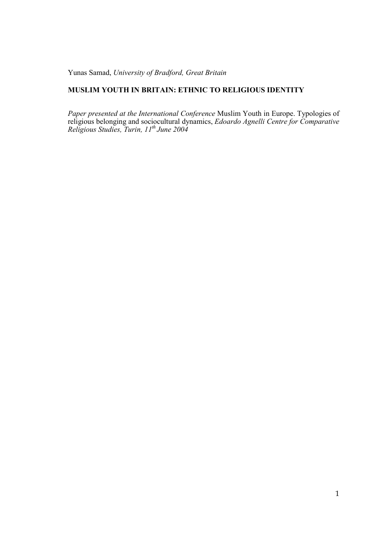Yunas Samad, *University of Bradford, Great Britain*

# **MUSLIM YOUTH IN BRITAIN: ETHNIC TO RELIGIOUS IDENTITY**

*Paper presented at the International Conference* Muslim Youth in Europe. Typologies of religious belonging and sociocultural dynamics, *Edoardo Agnelli Centre for Comparative Religious Studies, Turin, 11th June 2004*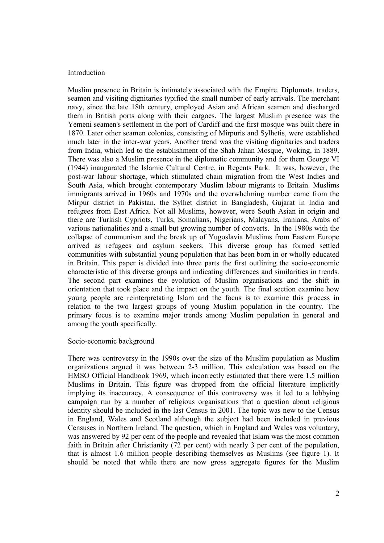#### Introduction

Muslim presence in Britain is intimately associated with the Empire. Diplomats, traders, seamen and visiting dignitaries typified the small number of early arrivals. The merchant navy, since the late 18th century, employed Asian and African seamen and discharged them in British ports along with their cargoes. The largest Muslim presence was the Yemeni seamen's settlement in the port of Cardiff and the first mosque was built there in 1870. Later other seamen colonies, consisting of Mirpuris and Sylhetis, were established much later in the inter-war years. Another trend was the visiting dignitaries and traders from India, which led to the establishment of the Shah Jahan Mosque, Woking, in 1889. There was also a Muslim presence in the diplomatic community and for them George VI (1944) inaugurated the Islamic Cultural Centre, in Regents Park. It was, however, the post-war labour shortage, which stimulated chain migration from the West Indies and South Asia, which brought contemporary Muslim labour migrants to Britain. Muslims immigrants arrived in 1960s and 1970s and the overwhelming number came from the Mirpur district in Pakistan, the Sylhet district in Bangladesh, Gujarat in India and refugees from East Africa. Not all Muslims, however, were South Asian in origin and there are Turkish Cypriots, Turks, Somalians, Nigerians, Malayans, Iranians, Arabs of various nationalities and a small but growing number of converts. In the 1980s with the collapse of communism and the break up of Yugoslavia Muslims from Eastern Europe arrived as refugees and asylum seekers. This diverse group has formed settled communities with substantial young population that has been born in or wholly educated in Britain. This paper is divided into three parts the first outlining the socio-economic characteristic of this diverse groups and indicating differences and similarities in trends. The second part examines the evolution of Muslim organisations and the shift in orientation that took place and the impact on the youth. The final section examine how young people are reinterpretating Islam and the focus is to examine this process in relation to the two largest groups of young Muslim population in the country. The primary focus is to examine major trends among Muslim population in general and among the youth specifically.

#### Socio-economic background

There was controversy in the 1990s over the size of the Muslim population as Muslim organizations argued it was between 2-3 million. This calculation was based on the HMSO Official Handbook 1969, which incorrectly estimated that there were 1.5 million Muslims in Britain. This figure was dropped from the official literature implicitly implying its inaccuracy. A consequence of this controversy was it led to a lobbying campaign run by a number of religious organisations that a question about religious identity should be included in the last Census in 2001. The topic was new to the Census in England, Wales and Scotland although the subject had been included in previous Censuses in Northern Ireland. The question, which in England and Wales was voluntary, was answered by 92 per cent of the people and revealed that Islam was the most common faith in Britain after Christianity (72 per cent) with nearly 3 per cent of the population, that is almost 1.6 million people describing themselves as Muslims (see figure 1). It should be noted that while there are now gross aggregate figures for the Muslim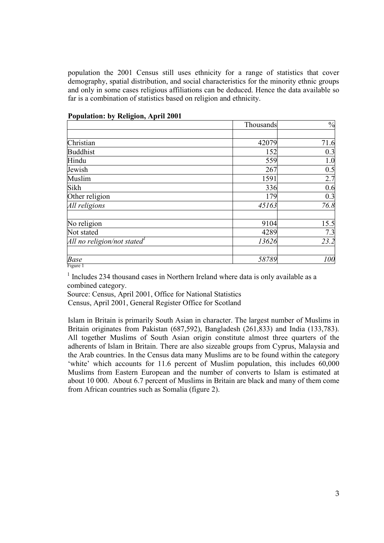population the 2001 Census still uses ethnicity for a range of statistics that cover demography, spatial distribution, and social characteristics for the minority ethnic groups and only in some cases religious affiliations can be deduced. Hence the data available so far is a combination of statistics based on religion and ethnicity.

|                                 | Thousands | $\frac{0}{0}$ |
|---------------------------------|-----------|---------------|
|                                 |           |               |
| Christian                       | 42079     | 71.6          |
| <b>Buddhist</b>                 | 152       | 0.3           |
| Hindu                           | 559       | 1.0           |
| Jewish                          | 267       | 0.5           |
| Muslim                          | 1591      | 2.7           |
| Sikh                            | 336       | 0.6           |
| Other religion                  | 179       | 0.3           |
| All religions                   | 45163     | 76.8          |
| No religion                     | 9104      | 15.5          |
| Not stated                      | 4289      | 7.3           |
| All no religion/not stated $^l$ | 13626     | 23.2          |
| <b>Base</b>                     | 58789     | 100           |
| Figure 1                        |           |               |

#### **Population: by Religion, April 2001**

<sup>1</sup> Includes 234 thousand cases in Northern Ireland where data is only available as a combined category.

Source: Census, April 2001, Office for National Statistics Census, April 2001, General Register Office for Scotland

Islam in Britain is primarily South Asian in character. The largest number of Muslims in Britain originates from Pakistan (687,592), Bangladesh (261,833) and India (133,783). All together Muslims of South Asian origin constitute almost three quarters of the adherents of Islam in Britain. There are also sizeable groups from Cyprus, Malaysia and the Arab countries. In the Census data many Muslims are to be found within the category 'white' which accounts for 11.6 percent of Muslim population, this includes 60,000 Muslims from Eastern European and the number of converts to Islam is estimated at about 10 000. About 6.7 percent of Muslims in Britain are black and many of them come from African countries such as Somalia (figure 2).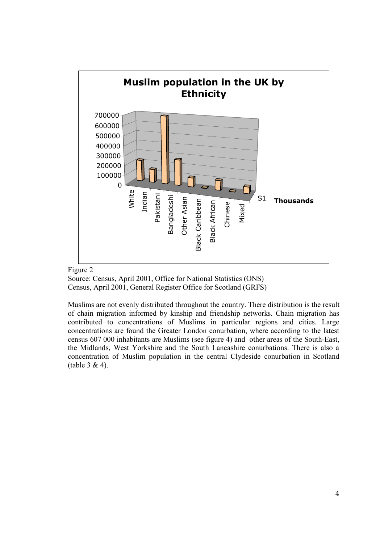



Source: Census, April 2001, Office for National Statistics (ONS) Census, April 2001, General Register Office for Scotland (GRFS)

Muslims are not evenly distributed throughout the country. There distribution is the result of chain migration informed by kinship and friendship networks. Chain migration has contributed to concentrations of Muslims in particular regions and cities. Large concentrations are found the Greater London conurbation, where according to the latest census 607 000 inhabitants are Muslims (see figure 4) and other areas of the South-East, the Midlands, West Yorkshire and the South Lancashire conurbations. There is also a concentration of Muslim population in the central Clydeside conurbation in Scotland (table 3 & 4).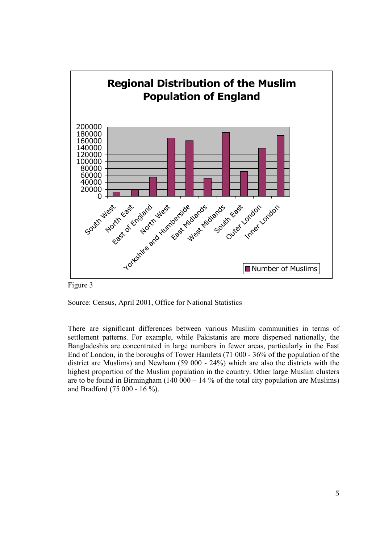



Source: Census, April 2001, Office for National Statistics

There are significant differences between various Muslim communities in terms of settlement patterns. For example, while Pakistanis are more dispersed nationally, the Bangladeshis are concentrated in large numbers in fewer areas, particularly in the East End of London, in the boroughs of Tower Hamlets (71 000 - 36% of the population of the district are Muslims) and Newham (59 000 - 24%) which are also the districts with the highest proportion of the Muslim population in the country. Other large Muslim clusters are to be found in Birmingham (140 000 – 14 % of the total city population are Muslims) and Bradford (75 000 - 16 %).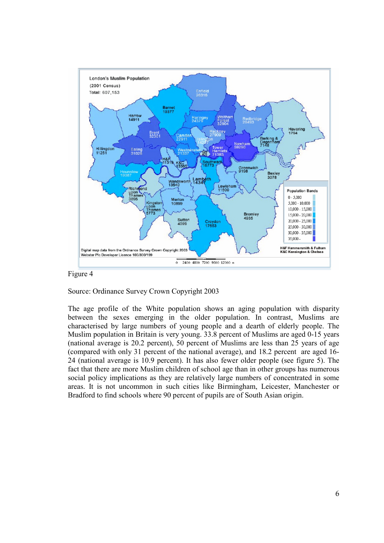

## Figure 4

Source: Ordinance Survey Crown Copyright 2003

The age profile of the White population shows an aging population with disparity between the sexes emerging in the older population. In contrast, Muslims are characterised by large numbers of young people and a dearth of elderly people. The Muslim population in Britain is very young. 33.8 percent of Muslims are aged 0-15 years (national average is 20.2 percent), 50 percent of Muslims are less than 25 years of age (compared with only 31 percent of the national average), and 18.2 percent are aged 16- 24 (national average is 10.9 percent). It has also fewer older people (see figure 5). The fact that there are more Muslim children of school age than in other groups has numerous social policy implications as they are relatively large numbers of concentrated in some areas. It is not uncommon in such cities like Birmingham, Leicester, Manchester or Bradford to find schools where 90 percent of pupils are of South Asian origin.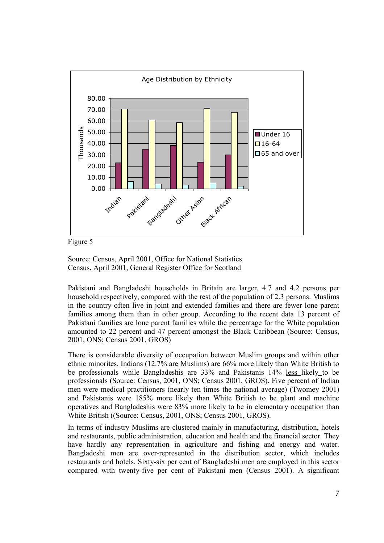



Pakistani and Bangladeshi households in Britain are larger, 4.7 and 4.2 persons per household respectively, compared with the rest of the population of 2.3 persons. Muslims in the country often live in joint and extended families and there are fewer lone parent families among them than in other group. According to the recent data 13 percent of Pakistani families are lone parent families while the percentage for the White population amounted to 22 percent and 47 percent amongst the Black Caribbean (Source: Census, 2001, ONS; Census 2001, GROS)

There is considerable diversity of occupation between Muslim groups and within other ethnic minorites. Indians (12.7% are Muslims) are 66% more likely than White British to be professionals while Bangladeshis are 33% and Pakistanis 14% less likely to be professionals (Source: Census, 2001, ONS; Census 2001, GROS). Five percent of Indian men were medical practitioners (nearly ten times the national average) (Twomey 2001) and Pakistanis were 185% more likely than White British to be plant and machine operatives and Bangladeshis were 83% more likely to be in elementary occupation than White British ((Source: Census, 2001, ONS; Census 2001, GROS).

In terms of industry Muslims are clustered mainly in manufacturing, distribution, hotels and restaurants, public administration, education and health and the financial sector. They have hardly any representation in agriculture and fishing and energy and water. Bangladeshi men are over-represented in the distribution sector, which includes restaurants and hotels. Sixty-six per cent of Bangladeshi men are employed in this sector compared with twenty-five per cent of Pakistani men (Census 2001). A significant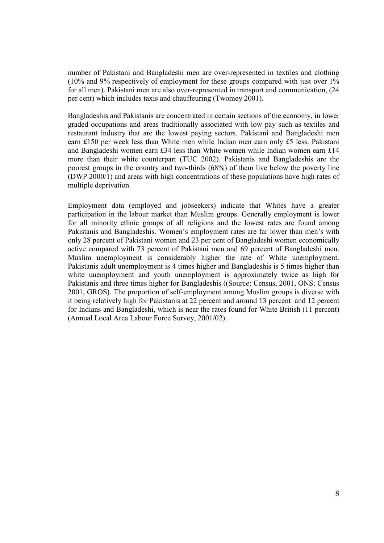number of Pakistani and Bangladeshi men are over-represented in textiles and clothing (10% and 9% respectively of employment for these groups compared with just over 1% for all men). Pakistani men are also over-represented in transport and communication, (24 per cent) which includes taxis and chauffeuring (Twomey 2001).

Bangladeshis and Pakistanis are concentrated in certain sections of the economy, in lower graded occupations and areas traditionally associated with low pay such as textiles and restaurant industry that are the lowest paying sectors. Pakistani and Bangladeshi men earn £150 per week less than White men while Indian men earn only £5 less. Pakistani and Bangladeshi women earn £34 less than White women while Indian women earn £14 more than their white counterpart (TUC 2002). Pakistanis and Bangladeshis are the poorest groups in the country and two-thirds (68%) of them live below the poverty line (DWP 2000/1) and areas with high concentrations of these populations have high rates of multiple deprivation.

Employment data (employed and jobseekers) indicate that Whites have a greater participation in the labour market than Muslim groups. Generally employment is lower for all minority ethnic groups of all religions and the lowest rates are found among Pakistanis and Bangladeshis. Women's employment rates are far lower than men's with only 28 percent of Pakistani women and 23 per cent of Bangladeshi women economically active compared with 73 percent of Pakistani men and 69 percent of Bangladeshi men. Muslim unemployment is considerably higher the rate of White unemployment. Pakistanis adult unemployment is 4 times higher and Bangladeshis is 5 times higher than white unemployment and youth unemployment is approximately twice as high for Pakistanis and three times higher for Bangladeshis ((Source: Census, 2001, ONS; Census 2001, GROS). The proportion of self-employment among Muslim groups is diverse with it being relatively high for Pakistanis at 22 percent and around 13 percent and 12 percent for Indians and Bangladeshi, which is near the rates found for White British (11 percent) (Annual Local Area Labour Force Survey, 2001/02).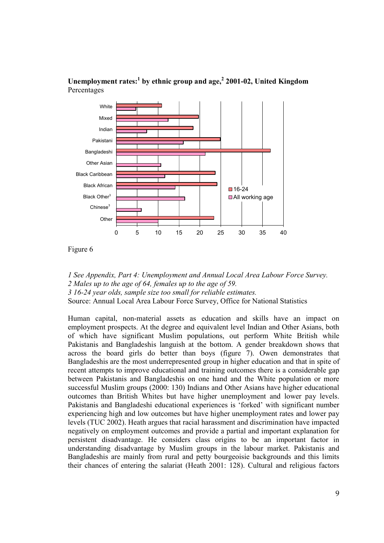

## Unemployment rates:<sup>1</sup> by ethnic group and age,<sup>2</sup> 2001-02, United Kingdom Percentages

Figure 6

*1 See Appendix, Part 4: Unemployment and Annual Local Area Labour Force Survey. 2 Males up to the age of 64, females up to the age of 59. 3 16-24 year olds, sample size too small for reliable estimates.*  Source: Annual Local Area Labour Force Survey, Office for National Statistics

Human capital, non-material assets as education and skills have an impact on employment prospects. At the degree and equivalent level Indian and Other Asians, both of which have significant Muslim populations, out perform White British while Pakistanis and Bangladeshis languish at the bottom. A gender breakdown shows that across the board girls do better than boys (figure 7). Owen demonstrates that Bangladeshis are the most underrepresented group in higher education and that in spite of recent attempts to improve educational and training outcomes there is a considerable gap between Pakistanis and Bangladeshis on one hand and the White population or more successful Muslim groups (2000: 130) Indians and Other Asians have higher educational outcomes than British Whites but have higher unemployment and lower pay levels. Pakistanis and Bangladeshi educational experiences is 'forked' with significant number experiencing high and low outcomes but have higher unemployment rates and lower pay levels (TUC 2002). Heath argues that racial harassment and discrimination have impacted negatively on employment outcomes and provide a partial and important explanation for persistent disadvantage. He considers class origins to be an important factor in understanding disadvantage by Muslim groups in the labour market. Pakistanis and Bangladeshis are mainly from rural and petty bourgeoisie backgrounds and this limits their chances of entering the salariat (Heath 2001: 128). Cultural and religious factors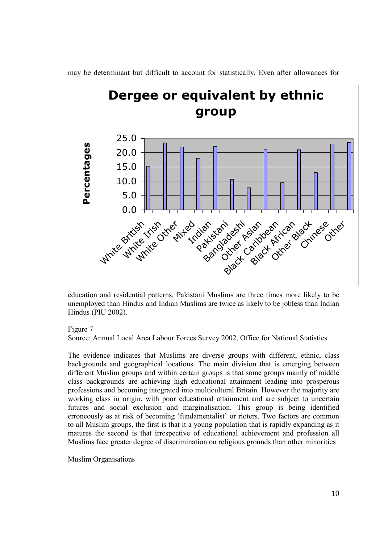may be determinant but difficult to account for statistically. Even after allowances for



education and residential patterns, Pakistani Muslims are three times more likely to be unemployed than Hindus and Indian Muslims are twice as likely to be jobless than Indian Hindus (PIU 2002).

Figure 7

Source: Annual Local Area Labour Forces Survey 2002, Office for National Statistics

The evidence indicates that Muslims are diverse groups with different, ethnic, class backgrounds and geographical locations. The main division that is emerging between different Muslim groups and within certain groups is that some groups mainly of middle class backgrounds are achieving high educational attainment leading into prosperous professions and becoming integrated into multicultural Britain. However the majority are working class in origin, with poor educational attainment and are subject to uncertain futures and social exclusion and marginalisation. This group is being identified erroneously as at risk of becoming 'fundamentalist' or rioters. Two factors are common to all Muslim groups, the first is that it a young population that is rapidly expanding as it matures the second is that irrespective of educational achievement and profession all Muslims face greater degree of discrimination on religious grounds than other minorities

Muslim Organisations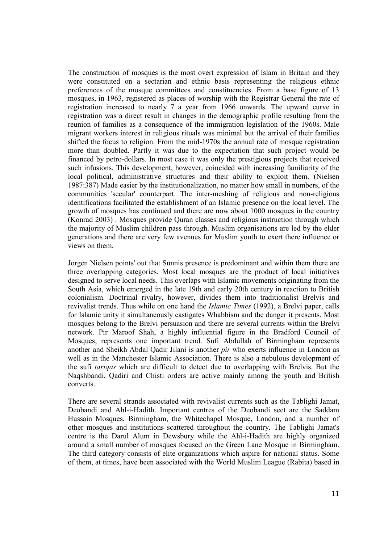The construction of mosques is the most overt expression of Islam in Britain and they were constituted on a sectarian and ethnic basis representing the religious ethnic preferences of the mosque committees and constituencies. From a base figure of 13 mosques, in 1963, registered as places of worship with the Registrar General the rate of registration increased to nearly 7 a year from 1966 onwards. The upward curve in registration was a direct result in changes in the demographic profile resulting from the reunion of families as a consequence of the immigration legislation of the 1960s. Male migrant workers interest in religious rituals was minimal but the arrival of their families shifted the focus to religion. From the mid-1970s the annual rate of mosque registration more than doubled. Partly it was due to the expectation that such project would be financed by petro-dollars. In most case it was only the prestigious projects that received such infusions. This development, however, coincided with increasing familiarity of the local political, administrative structures and their ability to exploit them. (Nielsen 1987:387) Made easier by the institutionalization, no matter how small in numbers, of the communities 'secular' counterpart. The inter-meshing of religious and non-religious identifications facilitated the establishment of an Islamic presence on the local level. The growth of mosques has continued and there are now about 1000 mosques in the country (Konrad 2003) . Mosques provide Quran classes and religious instruction through which the majority of Muslim children pass through. Muslim organisations are led by the elder generations and there are very few avenues for Muslim youth to exert there influence or views on them.

Jorgen Nielsen points' out that Sunnis presence is predominant and within them there are three overlapping categories. Most local mosques are the product of local initiatives designed to serve local needs. This overlaps with Islamic movements originating from the South Asia, which emerged in the late 19th and early 20th century in reaction to British colonialism. Doctrinal rivalry, however, divides them into traditionalist Brelvis and revivalist trends. Thus while on one hand the *Islamic Times* (1992), a Brelvi paper, calls for Islamic unity it simultaneously castigates Whabbism and the danger it presents. Most mosques belong to the Brelvi persuasion and there are several currents within the Brelvi network. Pir Maroof Shah, a highly influential figure in the Bradford Council of Mosques, represents one important trend. Sufi Abdullah of Birmingham represents another and Sheikh Abdal Qadir Jilani is another *pir* who exerts influence in London as well as in the Manchester Islamic Association. There is also a nebulous development of the sufi *tariqas* which are difficult to detect due to overlapping with Brelvis. But the Naqshbandi, Qadiri and Chisti orders are active mainly among the youth and British converts.

There are several strands associated with revivalist currents such as the Tablighi Jamat, Deobandi and Ahl-i-Hadith. Important centres of the Deobandi sect are the Saddam Hussain Mosques, Birmingham, the Whitechapel Mosque, London, and a number of other mosques and institutions scattered throughout the country. The Tablighi Jamat's centre is the Darul Alum in Dewsbury while the Ahl-i-Hadith are highly organized around a small number of mosques focused on the Green Lane Mosque in Birmingham. The third category consists of elite organizations which aspire for national status. Some of them, at times, have been associated with the World Muslim League (Rabita) based in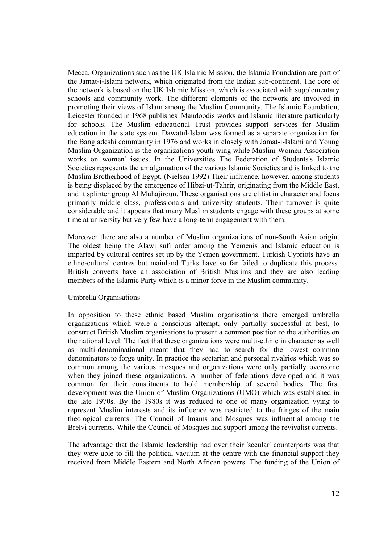Mecca. Organizations such as the UK Islamic Mission, the Islamic Foundation are part of the Jamat-i-Islami network, which originated from the Indian sub-continent. The core of the network is based on the UK Islamic Mission, which is associated with supplementary schools and community work. The different elements of the network are involved in promoting their views of Islam among the Muslim Community. The Islamic Foundation, Leicester founded in 1968 publishes Maudoodis works and Islamic literature particularly for schools. The Muslim educational Trust provides support services for Muslim education in the state system. Dawatul-Islam was formed as a separate organization for the Bangladeshi community in 1976 and works in closely with Jamat-i-Islami and Young Muslim Organization is the organizations youth wing while Muslim Women Association works on women' issues. In the Universities The Federation of Students's Islamic Societies represents the amalgamation of the various Islamic Societies and is linked to the Muslim Brotherhood of Egypt. (Nielsen 1992) Their influence, however, among students is being displaced by the emergence of Hibzi-ut-Tahrir, originating from the Middle East, and it splinter group Al Muhajiroun. These organisations are elitist in character and focus primarily middle class, professionals and university students. Their turnover is quite considerable and it appears that many Muslim students engage with these groups at some time at university but very few have a long-term engagement with them.

Moreover there are also a number of Muslim organizations of non-South Asian origin. The oldest being the Alawi sufi order among the Yemenis and Islamic education is imparted by cultural centres set up by the Yemen government. Turkish Cypriots have an ethno-cultural centres but mainland Turks have so far failed to duplicate this process. British converts have an association of British Muslims and they are also leading members of the Islamic Party which is a minor force in the Muslim community.

#### Umbrella Organisations

In opposition to these ethnic based Muslim organisations there emerged umbrella organizations which were a conscious attempt, only partially successful at best, to construct British Muslim organisations to present a common position to the authorities on the national level. The fact that these organizations were multi-ethnic in character as well as multi-denominational meant that they had to search for the lowest common denominators to forge unity. In practice the sectarian and personal rivalries which was so common among the various mosques and organizations were only partially overcome when they joined these organizations. A number of federations developed and it was common for their constituents to hold membership of several bodies. The first development was the Union of Muslim Organizations (UMO) which was established in the late 1970s. By the 1980s it was reduced to one of many organization vying to represent Muslim interests and its influence was restricted to the fringes of the main theological currents. The Council of Imams and Mosques was influential among the Brelvi currents. While the Council of Mosques had support among the revivalist currents.

The advantage that the Islamic leadership had over their 'secular' counterparts was that they were able to fill the political vacuum at the centre with the financial support they received from Middle Eastern and North African powers. The funding of the Union of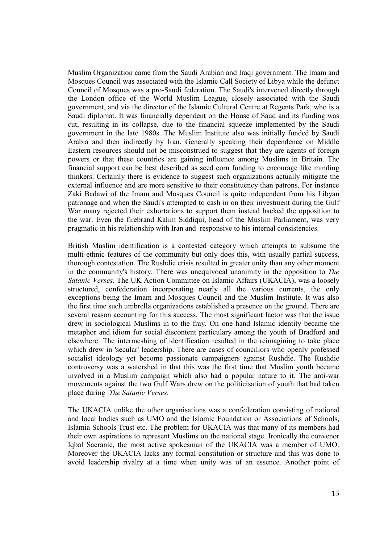Muslim Organization came from the Saudi Arabian and Iraqi government. The Imam and Mosques Council was associated with the Islamic Call Society of Libya while the defunct Council of Mosques was a pro-Saudi federation. The Saudi's intervened directly through the London office of the World Muslim League, closely associated with the Saudi government, and via the director of the Islamic Cultural Centre at Regents Park, who is a Saudi diplomat. It was financially dependent on the House of Saud and its funding was cut, resulting in its collapse, due to the financial squeeze implemented by the Saudi government in the late 1980s. The Muslim Institute also was initially funded by Saudi Arabia and then indirectly by Iran. Generally speaking their dependence on Middle Eastern resources should not be misconstrued to suggest that they are agents of foreign powers or that these countries are gaining influence among Muslims in Britain. The financial support can be best described as seed corn funding to encourage like minding thinkers. Certainly there is evidence to suggest such organizations actually mitigate the external influence and are more sensitive to their constituency than patrons. For instance Zaki Badawi of the Imam and Mosques Council is quite independent from his Libyan patronage and when the Saudi's attempted to cash in on their investment during the Gulf War many rejected their exhortations to support them instead backed the opposition to the war. Even the firebrand Kalim Siddiqui, head of the Muslim Parliament, was very pragmatic in his relationship with Iran and responsive to his internal consistencies.

British Muslim identification is a contested category which attempts to subsume the multi-ethnic features of the community but only does this, with usually partial success, thorough contestation. The Rushdie crisis resulted in greater unity than any other moment in the community's history. There was unequivocal unanimity in the opposition to *The Satanic Verses*. The UK Action Committee on Islamic Affairs (UKACIA), was a loosely structured, confederation incorporating nearly all the various currents, the only exceptions being the Imam and Mosques Council and the Muslim Institute. It was also the first time such umbrella organizations established a presence on the ground. There are several reason accounting for this success. The most significant factor was that the issue drew in sociological Muslims in to the fray. On one hand Islamic identity became the metaphor and idiom for social discontent particulary among the youth of Bradford and elsewhere. The intermeshing of identification resulted in the reimagining to take place which drew in 'secular' leadership. There are cases of councillors who openly professed socialist ideology yet become passionate campaigners against Rushdie. The Rushdie controversy was a watershed in that this was the first time that Muslim youth became involved in a Muslim campaign which also had a popular nature to it. The anti-war movements against the two Gulf Wars drew on the politicisation of youth that had taken place during *The Satanic Verses*.

The UKACIA unlike the other organisations was a confederation consisting of national and local bodies such as UMO and the Islamic Foundation or Associations of Schools, Islamia Schools Trust etc. The problem for UKACIA was that many of its members had their own aspirations to represent Muslims on the national stage. Ironically the convenor Iqbal Sacranie, the most active spokesman of the UKACIA was a member of UMO. Moreover the UKACIA lacks any formal constitution or structure and this was done to avoid leadership rivalry at a time when unity was of an essence. Another point of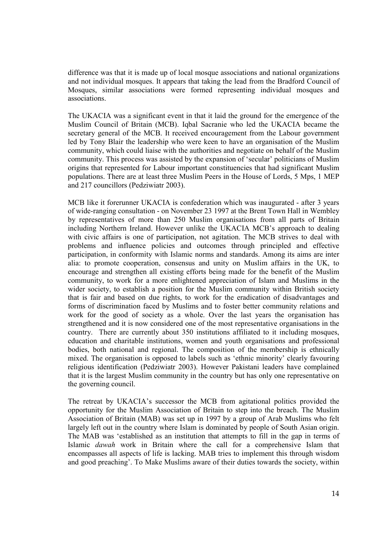difference was that it is made up of local mosque associations and national organizations and not individual mosques. It appears that taking the lead from the Bradford Council of Mosques, similar associations were formed representing individual mosques and associations.

The UKACIA was a significant event in that it laid the ground for the emergence of the Muslim Council of Britain (MCB). Iqbal Sacranie who led the UKACIA became the secretary general of the MCB. It received encouragement from the Labour government led by Tony Blair the leadership who were keen to have an organisation of the Muslim community, which could liaise with the authorities and negotiate on behalf of the Muslim community. This process was assisted by the expansion of 'secular' politicians of Muslim origins that represented for Labour important constituencies that had significant Muslim populations. There are at least three Muslim Peers in the House of Lords, 5 Mps, 1 MEP and 217 councillors (Pedziwiatr 2003).

MCB like it forerunner UKACIA is confederation which was inaugurated - after 3 years of wide-ranging consultation - on November 23 1997 at the Brent Town Hall in Wembley by representatives of more than 250 Muslim organisations from all parts of Britain including Northern Ireland. However unlike the UKACIA MCB's approach to dealing with civic affairs is one of participation, not agitation. The MCB strives to deal with problems and influence policies and outcomes through principled and effective participation, in conformity with Islamic norms and standards. Among its aims are inter alia: to promote cooperation, consensus and unity on Muslim affairs in the UK, to encourage and strengthen all existing efforts being made for the benefit of the Muslim community, to work for a more enlightened appreciation of Islam and Muslims in the wider society, to establish a position for the Muslim community within British society that is fair and based on due rights, to work for the eradication of disadvantages and forms of discrimination faced by Muslims and to foster better community relations and work for the good of society as a whole. Over the last years the organisation has strengthened and it is now considered one of the most representative organisations in the country. There are currently about 350 institutions affiliated to it including mosques, education and charitable institutions, women and youth organisations and professional bodies, both national and regional. The composition of the membership is ethnically mixed. The organisation is opposed to labels such as 'ethnic minority' clearly favouring religious identification (Pedziwiatr 2003). However Pakistani leaders have complained that it is the largest Muslim community in the country but has only one representative on the governing council.

The retreat by UKACIA's successor the MCB from agitational politics provided the opportunity for the Muslim Association of Britain to step into the breach. The Muslim Association of Britain (MAB) was set up in 1997 by a group of Arab Muslims who felt largely left out in the country where Islam is dominated by people of South Asian origin. The MAB was 'established as an institution that attempts to fill in the gap in terms of Islamic *dawah* work in Britain where the call for a comprehensive Islam that encompasses all aspects of life is lacking. MAB tries to implement this through wisdom and good preaching'. To Make Muslims aware of their duties towards the society, within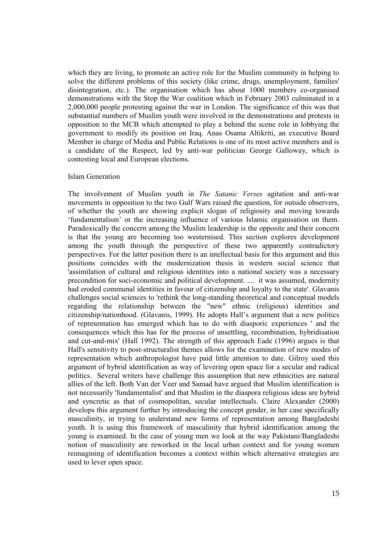which they are living, to promote an active role for the Muslim community in helping to solve the different problems of this society (like crime, drugs, unemployment, families' disintegration, etc.). The organisation which has about 1000 members co-organised demonstrations with the Stop the War coalition which in February 2003 culminated in a 2,000,000 people protesting against the war in London. The significance of this was that substantial numbers of Muslim youth were involved in the demonstrations and protests in opposition to the MCB which attempted to play a behind the scene role in lobbying the government to modify its position on Iraq. Anas Osama Altikriti, an executive Board Member in charge of Media and Public Relations is one of its most active members and is a candidate of the Respect, led by anti-war politician George Galloway, which is contesting local and European elections.

#### Islam Generation

The involvement of Muslim youth in *The Satanic Verses* agitation and anti-war movements in opposition to the two Gulf Wars raised the question, for outside observers, of whether the youth are showing explicit slogan of religiosity and moving towards 'fundamentalism' or the increasing influence of various Islamic organisation on them. Paradoxically the concern among the Muslim leadership is the opposite and their concern is that the young are becoming too westernised. This section explores development among the youth through the perspective of these two apparently contradictory perspectives. For the latter position there is an intellectual basis for this argument and this positions coincides with the modernization thesis in western social science that 'assimilation of cultural and religious identities into a national society was a necessary precondition for soci-economic and political development. .... it was assumed, modernity had eroded communal identities in favour of citizenship and loyalty to the state'. Glavanis challenges social sciences to 'rethink the long-standing theoretical and conceptual models regarding the relationship between the "new" ethnic (religious) identities and citizenship/nationhood. (Glavanis, 1999). He adopts Hall's argument that a new politics of representation has emerged which has to do with diasporic experiences ' and the consequences which this has for the process of unsettling, recombination, hybridisation and cut-and-mix' (Hall 1992). The strength of this approach Eade (1996) argues is that Hall's sensitivity to post-structuralist themes allows for the examination of new modes of representation which anthropologist have paid little attention to date. Gilroy used this argument of hybrid identification as way of levering open space for a secular and radical politics. Several writers have challenge this assumption that new ethnicities are natural allies of the left. Both Van der Veer and Samad have argued that Muslim identification is not necessarily 'fundamentalist' and that Muslim in the diaspora religious ideas are hybrid and syncretic as that of cosmopolitan, secular intellectuals. Claire Alexander (2000) develops this argument further by introducing the concept gender, in her case specifically masculinity, in trying to understand new forms of representation among Bangladeshi youth. It is using this framework of masculinity that hybrid identification among the young is examined. In the case of young men we look at the way Pakistani/Bangladeshi notion of masculinity are reworked in the local urban context and for young women reimagining of identification becomes a context within which alternative strategies are used to lever open space.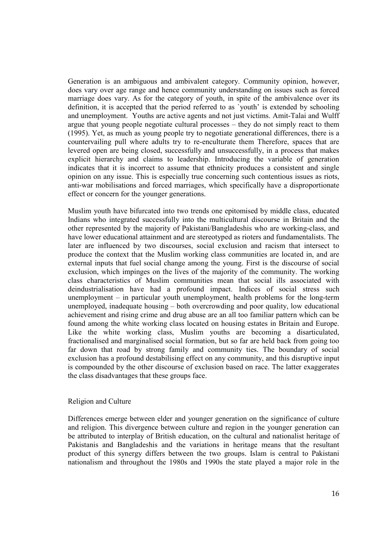Generation is an ambiguous and ambivalent category. Community opinion, however, does vary over age range and hence community understanding on issues such as forced marriage does vary. As for the category of youth, in spite of the ambivalence over its definition, it is accepted that the period referred to as `youth' is extended by schooling and unemployment. Youths are active agents and not just victims. Amit-Talai and Wulff argue that young people negotiate cultural processes – they do not simply react to them (1995). Yet, as much as young people try to negotiate generational differences, there is a countervailing pull where adults try to re-enculturate them Therefore, spaces that are levered open are being closed, successfully and unsuccessfully, in a process that makes explicit hierarchy and claims to leadership. Introducing the variable of generation indicates that it is incorrect to assume that ethnicity produces a consistent and single opinion on any issue. This is especially true concerning such contentious issues as riots, anti-war mobilisations and forced marriages, which specifically have a disproportionate effect or concern for the younger generations.

Muslim youth have bifurcated into two trends one epitomised by middle class, educated Indians who integrated successfully into the multicultural discourse in Britain and the other represented by the majority of Pakistani/Bangladeshis who are working-class, and have lower educational attainment and are stereotyped as rioters and fundamentalists. The later are influenced by two discourses, social exclusion and racism that intersect to produce the context that the Muslim working class communities are located in, and are external inputs that fuel social change among the young. First is the discourse of social exclusion, which impinges on the lives of the majority of the community. The working class characteristics of Muslim communities mean that social ills associated with deindustrialisation have had a profound impact. Indices of social stress such unemployment – in particular youth unemployment, health problems for the long-term unemployed, inadequate housing – both overcrowding and poor quality, low educational achievement and rising crime and drug abuse are an all too familiar pattern which can be found among the white working class located on housing estates in Britain and Europe. Like the white working class, Muslim youths are becoming a disarticulated, fractionalised and marginalised social formation, but so far are held back from going too far down that road by strong family and community ties. The boundary of social exclusion has a profound destabilising effect on any community, and this disruptive input is compounded by the other discourse of exclusion based on race. The latter exaggerates the class disadvantages that these groups face.

#### Religion and Culture

Differences emerge between elder and younger generation on the significance of culture and religion. This divergence between culture and region in the younger generation can be attributed to interplay of British education, on the cultural and nationalist heritage of Pakistanis and Bangladeshis and the variations in heritage means that the resultant product of this synergy differs between the two groups. Islam is central to Pakistani nationalism and throughout the 1980s and 1990s the state played a major role in the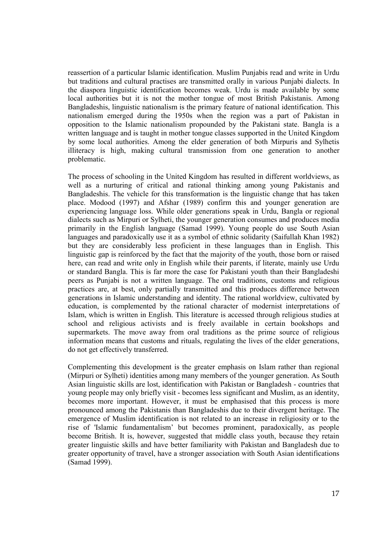reassertion of a particular Islamic identification. Muslim Punjabis read and write in Urdu but traditions and cultural practises are transmitted orally in various Punjabi dialects. In the diaspora linguistic identification becomes weak. Urdu is made available by some local authorities but it is not the mother tongue of most British Pakistanis. Among Bangladeshis, linguistic nationalism is the primary feature of national identification. This nationalism emerged during the 1950s when the region was a part of Pakistan in opposition to the Islamic nationalism propounded by the Pakistani state. Bangla is a written language and is taught in mother tongue classes supported in the United Kingdom by some local authorities. Among the elder generation of both Mirpuris and Sylhetis illiteracy is high, making cultural transmission from one generation to another problematic.

The process of schooling in the United Kingdom has resulted in different worldviews, as well as a nurturing of critical and rational thinking among young Pakistanis and Bangladeshis. The vehicle for this transformation is the linguistic change that has taken place. Modood (1997) and Afshar (1989) confirm this and younger generation are experiencing language loss. While older generations speak in Urdu, Bangla or regional dialects such as Mirpuri or Sylheti, the younger generation consumes and produces media primarily in the English language (Samad 1999). Young people do use South Asian languages and paradoxically use it as a symbol of ethnic solidarity (Saifullah Khan 1982) but they are considerably less proficient in these languages than in English. This linguistic gap is reinforced by the fact that the majority of the youth, those born or raised here, can read and write only in English while their parents, if literate, mainly use Urdu or standard Bangla. This is far more the case for Pakistani youth than their Bangladeshi peers as Punjabi is not a written language. The oral traditions, customs and religious practices are, at best, only partially transmitted and this produces difference between generations in Islamic understanding and identity. The rational worldview, cultivated by education, is complemented by the rational character of modernist interpretations of Islam, which is written in English. This literature is accessed through religious studies at school and religious activists and is freely available in certain bookshops and supermarkets. The move away from oral traditions as the prime source of religious information means that customs and rituals, regulating the lives of the elder generations, do not get effectively transferred.

Complementing this development is the greater emphasis on Islam rather than regional (Mirpuri or Sylheti) identities among many members of the younger generation. As South Asian linguistic skills are lost, identification with Pakistan or Bangladesh - countries that young people may only briefly visit - becomes less significant and Muslim, as an identity, becomes more important. However, it must be emphasised that this process is more pronounced among the Pakistanis than Bangladeshis due to their divergent heritage. The emergence of Muslim identification is not related to an increase in religiosity or to the rise of 'Islamic fundamentalism' but becomes prominent, paradoxically, as people become British. It is, however, suggested that middle class youth, because they retain greater linguistic skills and have better familiarity with Pakistan and Bangladesh due to greater opportunity of travel, have a stronger association with South Asian identifications (Samad 1999).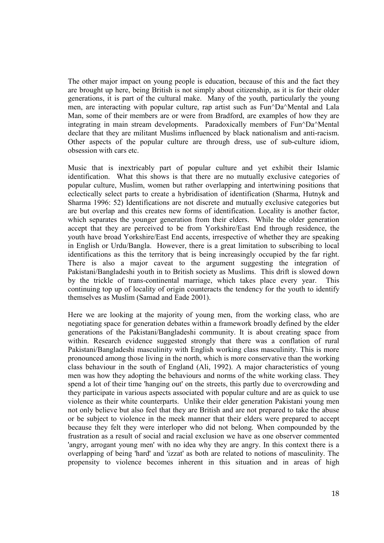The other major impact on young people is education, because of this and the fact they are brought up here, being British is not simply about citizenship, as it is for their older generations, it is part of the cultural make. Many of the youth, particularly the young men, are interacting with popular culture, rap artist such as Fun^Da^Mental and Lala Man, some of their members are or were from Bradford, are examples of how they are integrating in main stream developments. Paradoxically members of Fun^Da^Mental declare that they are militant Muslims influenced by black nationalism and anti-racism. Other aspects of the popular culture are through dress, use of sub-culture idiom, obsession with cars etc.

Music that is inextricably part of popular culture and yet exhibit their Islamic identification. What this shows is that there are no mutually exclusive categories of popular culture, Muslim, women but rather overlapping and intertwining positions that eclectically select parts to create a hybridisation of identification (Sharma, Hutnyk and Sharma 1996: 52) Identifications are not discrete and mutually exclusive categories but are but overlap and this creates new forms of identification. Locality is another factor, which separates the younger generation from their elders. While the older generation accept that they are perceived to be from Yorkshire/East End through residence, the youth have broad Yorkshire/East End accents, irrespective of whether they are speaking in English or Urdu/Bangla. However, there is a great limitation to subscribing to local identifications as this the territory that is being increasingly occupied by the far right. There is also a major caveat to the argument suggesting the integration of Pakistani/Bangladeshi youth in to British society as Muslims. This drift is slowed down by the trickle of trans-continental marriage, which takes place every year. This continuing top up of locality of origin counteracts the tendency for the youth to identify themselves as Muslim (Samad and Eade 2001).

Here we are looking at the majority of young men, from the working class, who are negotiating space for generation debates within a framework broadly defined by the elder generations of the Pakistani/Bangladeshi community. It is about creating space from within. Research evidence suggested strongly that there was a conflation of rural Pakistani/Bangladeshi masculinity with English working class masculinity. This is more pronounced among those living in the north, which is more conservative than the working class behaviour in the south of England (Ali, 1992). A major characteristics of young men was how they adopting the behaviours and norms of the white working class. They spend a lot of their time 'hanging out' on the streets, this partly due to overcrowding and they participate in various aspects associated with popular culture and are as quick to use violence as their white counterparts. Unlike their elder generation Pakistani young men not only believe but also feel that they are British and are not prepared to take the abuse or be subject to violence in the meek manner that their elders were prepared to accept because they felt they were interloper who did not belong. When compounded by the frustration as a result of social and racial exclusion we have as one observer commented 'angry, arrogant young men' with no idea why they are angry. In this context there is a overlapping of being 'hard' and 'izzat' as both are related to notions of masculinity. The propensity to violence becomes inherent in this situation and in areas of high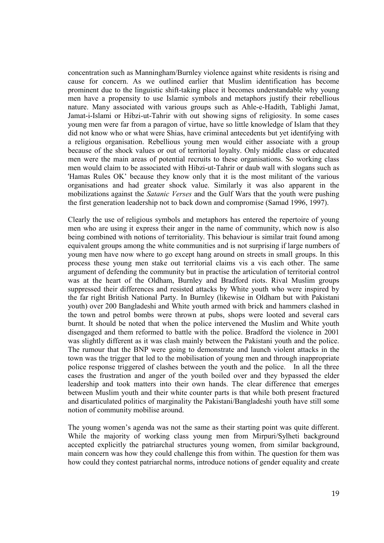concentration such as Manningham/Burnley violence against white residents is rising and cause for concern. As we outlined earlier that Muslim identification has become prominent due to the linguistic shift-taking place it becomes understandable why young men have a propensity to use Islamic symbols and metaphors justify their rebellious nature. Many associated with various groups such as Ahle-e-Hadith, Tablighi Jamat, Jamat-i-Islami or Hibzi-ut-Tahrir with out showing signs of religiosity. In some cases young men were far from a paragon of virtue, have so little knowledge of Islam that they did not know who or what were Shias, have criminal antecedents but yet identifying with a religious organisation. Rebellious young men would either associate with a group because of the shock values or out of territorial loyalty. Only middle class or educated men were the main areas of potential recruits to these organisations. So working class men would claim to be associated with Hibzi-ut-Tahrir or daub wall with slogans such as 'Hamas Rules OK' because they know only that it is the most militant of the various organisations and had greater shock value. Similarly it was also apparent in the mobilizations against the *Satanic Verses* and the Gulf Wars that the youth were pushing the first generation leadership not to back down and compromise (Samad 1996, 1997).

Clearly the use of religious symbols and metaphors has entered the repertoire of young men who are using it express their anger in the name of community, which now is also being combined with notions of territoriality. This behaviour is similar trait found among equivalent groups among the white communities and is not surprising if large numbers of young men have now where to go except hang around on streets in small groups. In this process these young men stake out territorial claims vis a vis each other. The same argument of defending the community but in practise the articulation of territorial control was at the heart of the Oldham, Burnley and Bradford riots. Rival Muslim groups suppressed their differences and resisted attacks by White youth who were inspired by the far right British National Party. In Burnley (likewise in Oldham but with Pakistani youth) over 200 Bangladeshi and White youth armed with brick and hammers clashed in the town and petrol bombs were thrown at pubs, shops were looted and several cars burnt. It should be noted that when the police intervened the Muslim and White youth disengaged and them reformed to battle with the police. Bradford the violence in 2001 was slightly different as it was clash mainly between the Pakistani youth and the police. The rumour that the BNP were going to demonstrate and launch violent attacks in the town was the trigger that led to the mobilisation of young men and through inappropriate police response triggered of clashes between the youth and the police. In all the three cases the frustration and anger of the youth boiled over and they bypassed the elder leadership and took matters into their own hands. The clear difference that emerges between Muslim youth and their white counter parts is that while both present fractured and disarticulated politics of marginality the Pakistani/Bangladeshi youth have still some notion of community mobilise around.

The young women's agenda was not the same as their starting point was quite different. While the majority of working class young men from Mirpuri/Sylheti background accepted explicitly the patriarchal structures young women, from similar background, main concern was how they could challenge this from within. The question for them was how could they contest patriarchal norms, introduce notions of gender equality and create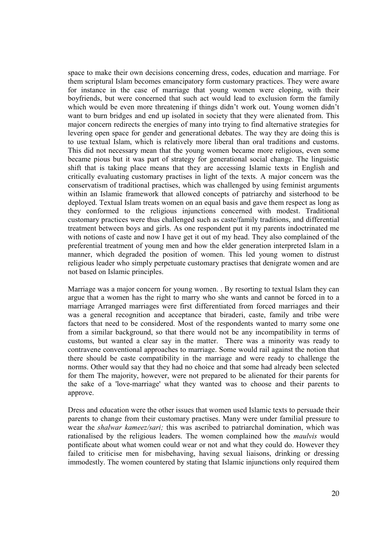space to make their own decisions concerning dress, codes, education and marriage. For them scriptural Islam becomes emancipatory form customary practices. They were aware for instance in the case of marriage that young women were eloping, with their boyfriends, but were concerned that such act would lead to exclusion form the family which would be even more threatening if things didn't work out. Young women didn't want to burn bridges and end up isolated in society that they were alienated from. This major concern redirects the energies of many into trying to find alternative strategies for levering open space for gender and generational debates. The way they are doing this is to use textual Islam, which is relatively more liberal than oral traditions and customs. This did not necessary mean that the young women became more religious, even some became pious but it was part of strategy for generational social change. The linguistic shift that is taking place means that they are accessing Islamic texts in English and critically evaluating customary practises in light of the texts. A major concern was the conservatism of traditional practises, which was challenged by using feminist arguments within an Islamic framework that allowed concepts of patriarchy and sisterhood to be deployed. Textual Islam treats women on an equal basis and gave them respect as long as they conformed to the religious injunctions concerned with modest. Traditional customary practices were thus challenged such as caste/family traditions, and differential treatment between boys and girls. As one respondent put it my parents indoctrinated me with notions of caste and now I have get it out of my head. They also complained of the preferential treatment of young men and how the elder generation interpreted Islam in a manner, which degraded the position of women. This led young women to distrust religious leader who simply perpetuate customary practises that denigrate women and are not based on Islamic principles.

Marriage was a major concern for young women. . By resorting to textual Islam they can argue that a women has the right to marry who she wants and cannot be forced in to a marriage Arranged marriages were first differentiated from forced marriages and their was a general recognition and acceptance that biraderi, caste, family and tribe were factors that need to be considered. Most of the respondents wanted to marry some one from a similar background, so that there would not be any incompatibility in terms of customs, but wanted a clear say in the matter. There was a minority was ready to contravene conventional approaches to marriage. Some would rail against the notion that there should be caste compatibility in the marriage and were ready to challenge the norms. Other would say that they had no choice and that some had already been selected for them The majority, however, were not prepared to be alienated for their parents for the sake of a 'love-marriage' what they wanted was to choose and their parents to approve.

Dress and education were the other issues that women used Islamic texts to persuade their parents to change from their customary practises. Many were under familial pressure to wear the *shalwar kameez/sari;* this was ascribed to patriarchal domination, which was rationalised by the religious leaders. The women complained how the *maulvis* would pontificate about what women could wear or not and what they could do. However they failed to criticise men for misbehaving, having sexual liaisons, drinking or dressing immodestly. The women countered by stating that Islamic injunctions only required them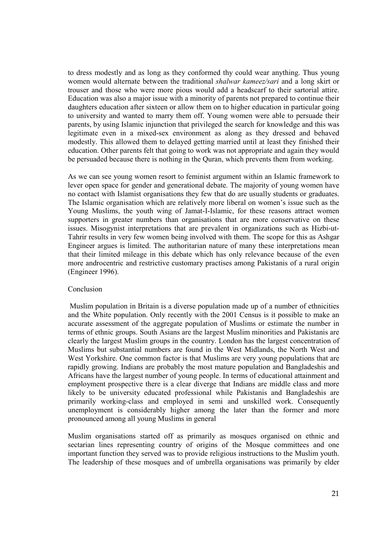to dress modestly and as long as they conformed thy could wear anything. Thus young women would alternate between the traditional *shalwar kameez/sari* and a long skirt or trouser and those who were more pious would add a headscarf to their sartorial attire. Education was also a major issue with a minority of parents not prepared to continue their daughters education after sixteen or allow them on to higher education in particular going to university and wanted to marry them off. Young women were able to persuade their parents, by using Islamic injunction that privileged the search for knowledge and this was legitimate even in a mixed-sex environment as along as they dressed and behaved modestly. This allowed them to delayed getting married until at least they finished their education. Other parents felt that going to work was not appropriate and again they would be persuaded because there is nothing in the Quran, which prevents them from working.

As we can see young women resort to feminist argument within an Islamic framework to lever open space for gender and generational debate. The majority of young women have no contact with Islamist organisations they few that do are usually students or graduates. The Islamic organisation which are relatively more liberal on women's issue such as the Young Muslims, the youth wing of Jamat-I-Islamic, for these reasons attract women supporters in greater numbers than organisations that are more conservative on these issues. Misogynist interpretations that are prevalent in organizations such as Hizbi-ut-Tahrir results in very few women being involved with them. The scope for this as Ashgar Engineer argues is limited. The authoritarian nature of many these interpretations mean that their limited mileage in this debate which has only relevance because of the even more androcentric and restrictive customary practises among Pakistanis of a rural origin (Engineer 1996).

### Conclusion

 Muslim population in Britain is a diverse population made up of a number of ethnicities and the White population. Only recently with the 2001 Census is it possible to make an accurate assessment of the aggregate population of Muslims or estimate the number in terms of ethnic groups. South Asians are the largest Muslim minorities and Pakistanis are clearly the largest Muslim groups in the country. London has the largest concentration of Muslims but substantial numbers are found in the West Midlands, the North West and West Yorkshire. One common factor is that Muslims are very young populations that are rapidly growing. Indians are probably the most mature population and Bangladeshis and Africans have the largest number of young people. In terms of educational attainment and employment prospective there is a clear diverge that Indians are middle class and more likely to be university educated professional while Pakistanis and Bangladeshis are primarily working-class and employed in semi and unskilled work. Consequently unemployment is considerably higher among the later than the former and more pronounced among all young Muslims in general

Muslim organisations started off as primarily as mosques organised on ethnic and sectarian lines representing country of origins of the Mosque committees and one important function they served was to provide religious instructions to the Muslim youth. The leadership of these mosques and of umbrella organisations was primarily by elder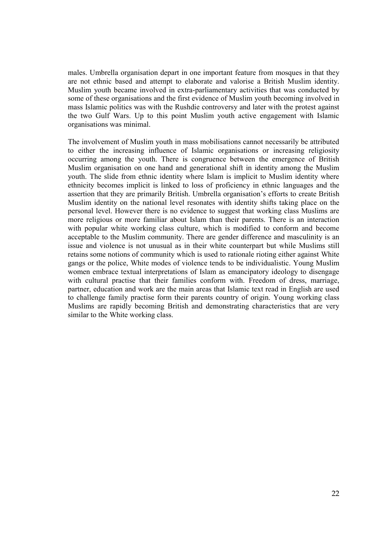males. Umbrella organisation depart in one important feature from mosques in that they are not ethnic based and attempt to elaborate and valorise a British Muslim identity. Muslim youth became involved in extra-parliamentary activities that was conducted by some of these organisations and the first evidence of Muslim youth becoming involved in mass Islamic politics was with the Rushdie controversy and later with the protest against the two Gulf Wars. Up to this point Muslim youth active engagement with Islamic organisations was minimal.

The involvement of Muslim youth in mass mobilisations cannot necessarily be attributed to either the increasing influence of Islamic organisations or increasing religiosity occurring among the youth. There is congruence between the emergence of British Muslim organisation on one hand and generational shift in identity among the Muslim youth. The slide from ethnic identity where Islam is implicit to Muslim identity where ethnicity becomes implicit is linked to loss of proficiency in ethnic languages and the assertion that they are primarily British. Umbrella organisation's efforts to create British Muslim identity on the national level resonates with identity shifts taking place on the personal level. However there is no evidence to suggest that working class Muslims are more religious or more familiar about Islam than their parents. There is an interaction with popular white working class culture, which is modified to conform and become acceptable to the Muslim community. There are gender difference and masculinity is an issue and violence is not unusual as in their white counterpart but while Muslims still retains some notions of community which is used to rationale rioting either against White gangs or the police, White modes of violence tends to be individualistic. Young Muslim women embrace textual interpretations of Islam as emancipatory ideology to disengage with cultural practise that their families conform with. Freedom of dress, marriage, partner, education and work are the main areas that Islamic text read in English are used to challenge family practise form their parents country of origin. Young working class Muslims are rapidly becoming British and demonstrating characteristics that are very similar to the White working class.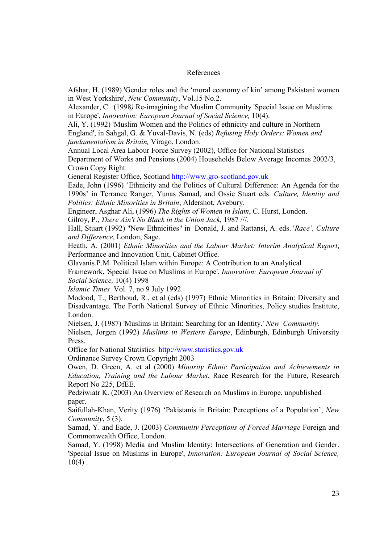### References

Afshar, H. (1989) 'Gender roles and the 'moral economy of kin' among Pakistani women in West Yorkshire', *New Community*, Vol.15 No.2.

Alexander, C. (1998*)* Re-imagining the Muslim Community 'Special Issue on Muslims in Europe', *Innovation: European Journal of Social Science,* 10(4).

Ali, Y. (1992) 'Muslim Women and the Politics of ethnicity and culture in Northern England', in Sahgal, G. & Yuval-Davis, N. (eds) *Refusing Holy Orders: Women and fundamentalism in Britain,* Virago, London.

Annual Local Area Labour Force Survey (2002), Office for National Statistics Department of Works and Pensions (2004) Households Below Average Incomes 2002/3, Crown Copy Right

General Register Office, Scotland http://www.gro-scotland.gov.uk

Eade, John (1996) 'Ethnicity and the Politics of Cultural Difference: An Agenda for the 1990s' in Terrance Ranger, Yunas Samad, and Ossie Stuart eds. *Culture, Identity and Politics: Ethnic Minorities in Britain*, Aldershot, Avebury.

Engineer, Asghar Ali, (1996) *The Rights of Women in Islam*, C. Hurst, London.

Gilroy, P., *There Ain't No Black in the Union Jack,* 1987 ///.

Hall, Stuart (1992) "New Ethnicities" in Donald, J. and Rattansi, A. eds. '*Race', Culture and Difference*, London, Sage.

Heath, A. (2001) *Ethnic Minorities and the Labour Market: Interim Analytical Report*, Performance and Innovation Unit, Cabinet Office.

Glavanis*.*P.M*.* Political Islam within Europe: A Contribution to an Analytical Framework, 'Special Issue on Muslims in Europe', *Innovation: European Journal of* 

*Social Science,* 10(4) 1998

*Islamic Times* Vol. 7, no 9 July 1992.

Modood, T., Berthoud, R., et al (eds) (1997) Ethnic Minorities in Britain: Diversity and Disadvantage. The Forth National Survey of Ethnic Minorities, Policy studies Institute, London.

Nielsen, J. (1987) 'Muslims in Britain: Searching for an Identity.' *New Community*.

Nielsen, Jorgen (1992) *Muslims in Western Europe*, Edinburgh, Edinburgh University Press.

Office for National Statistics http://www.statistics.gov.uk Ordinance Survey Crown Copyright 2003

Owen, D. Green, A. et al (2000) *Minority Ethnic Participation and Achievements in Education, Training and the Labour Market*, Race Research for the Future, Research Report No 225, DfEE.

Pedziwiatr K. (2003) An Overview of Research on Muslims in Europe, unpublished paper.

Saifullah-Khan, Verity (1976) 'Pakistanis in Britain: Perceptions of a Population', *New Community*, 5 (3).

Samad, Y. and Eade, J. (2003) *Community Perceptions of Forced Marriage* Foreign and Commonwealth Office, London.

Samad, Y. (1998) Media and Muslim Identity: Intersections of Generation and Gender. 'Special Issue on Muslims in Europe', *Innovation: European Journal of Social Science,*  $10(4)$ .